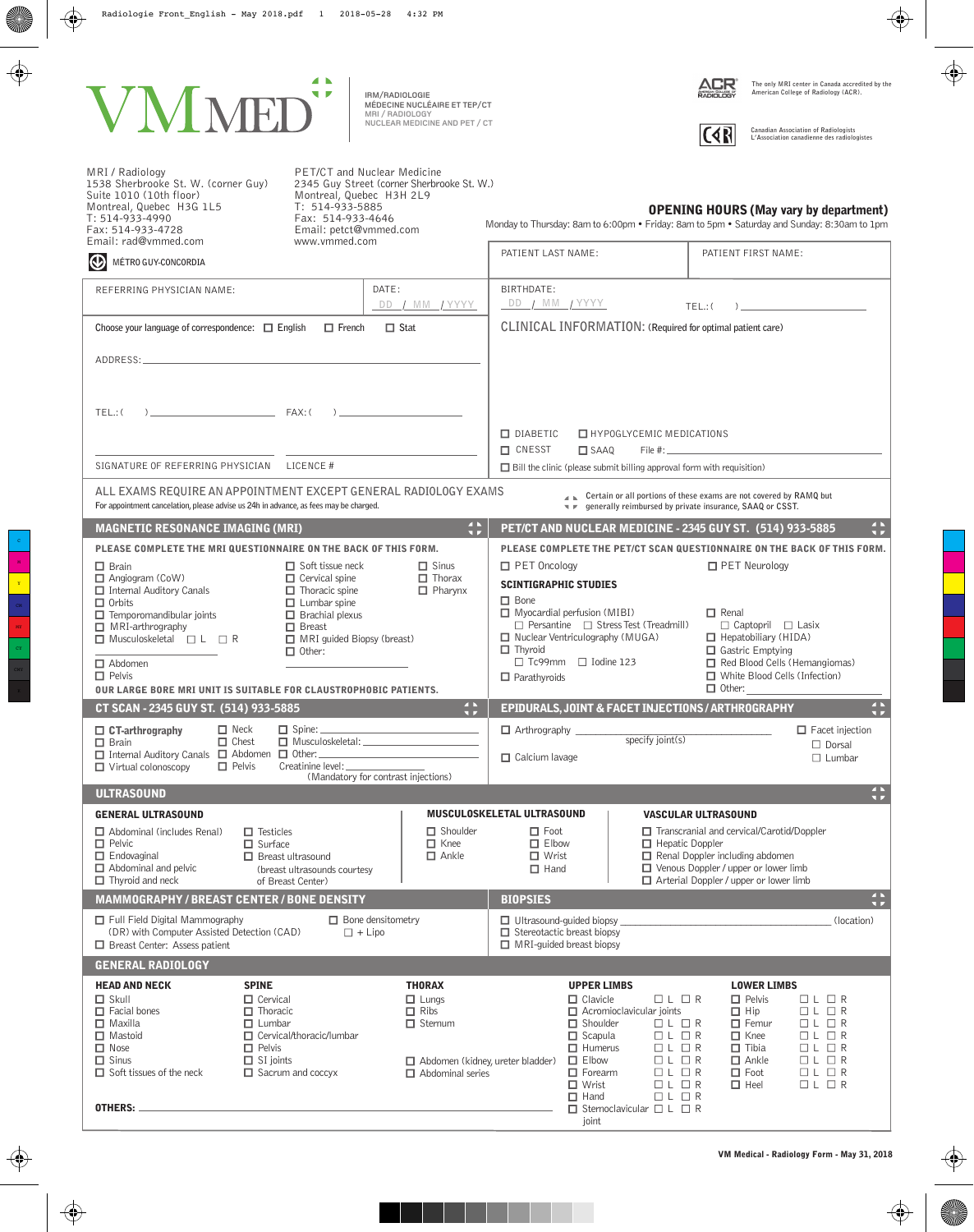

**MRI / RADIOLOGY NUCLEAR MEDICINE AND PET / CT MÉDECINE NUCLÉAIRE ET TEP/CT IRM/RADIOLOGIE** 



**The only MRI center in Canada accredited by the American College of Radiology (ACR).**



**Canadian Association of Radiologists L'Association canadienne des radiologistes**

| PET/CT and Nuclear Medicine<br>MRI / Radiology<br>1538 Sherbrooke St. W. (corner Guy)<br>Suite 1010 (10th floor)<br>Montreal, Quebec H3H 2L9<br>T: 514-933-5885<br>Montreal, Quebec H3G 1L5<br>Fax: 514-933-4646<br>T: 514-933-4990<br>Email: petct@vmmed.com<br>Fax: 514-933-4728<br>Email: rad@vmmed.com<br>www.vmmed.com |                                                                                                                                                                                                                                                                                                                                                                                                                             | 2345 Guy Street (corner Sherbrooke St. W.)                                                                                    | <b>OPENING HOURS (May vary by department)</b><br>Monday to Thursday: 8am to 6:00pm . Friday: 8am to 5pm . Saturday and Sunday: 8:30am to 1pm           |                                                                                                                                                |                                                                                                                                                                                                                                             |                                                                                                                                                |                                                                                                                                                                                                      |  |  |
|-----------------------------------------------------------------------------------------------------------------------------------------------------------------------------------------------------------------------------------------------------------------------------------------------------------------------------|-----------------------------------------------------------------------------------------------------------------------------------------------------------------------------------------------------------------------------------------------------------------------------------------------------------------------------------------------------------------------------------------------------------------------------|-------------------------------------------------------------------------------------------------------------------------------|--------------------------------------------------------------------------------------------------------------------------------------------------------|------------------------------------------------------------------------------------------------------------------------------------------------|---------------------------------------------------------------------------------------------------------------------------------------------------------------------------------------------------------------------------------------------|------------------------------------------------------------------------------------------------------------------------------------------------|------------------------------------------------------------------------------------------------------------------------------------------------------------------------------------------------------|--|--|
| $\bigcirc$<br>MÉTRO GUY-CONCORDIA                                                                                                                                                                                                                                                                                           |                                                                                                                                                                                                                                                                                                                                                                                                                             |                                                                                                                               | PATIENT LAST NAME:                                                                                                                                     |                                                                                                                                                |                                                                                                                                                                                                                                             | PATIENT FIRST NAME:                                                                                                                            |                                                                                                                                                                                                      |  |  |
| REFERRING PHYSICIAN NAME:                                                                                                                                                                                                                                                                                                   |                                                                                                                                                                                                                                                                                                                                                                                                                             | DATE:<br>DD / MM / YYYY                                                                                                       | BIRTHDATE:<br>DD / MM / YYYY                                                                                                                           |                                                                                                                                                |                                                                                                                                                                                                                                             | TEL.: (                                                                                                                                        |                                                                                                                                                                                                      |  |  |
| Choose your language of correspondence: $\Box$ English                                                                                                                                                                                                                                                                      | CLINICAL INFORMATION: (Required for optimal patient care)                                                                                                                                                                                                                                                                                                                                                                   |                                                                                                                               |                                                                                                                                                        |                                                                                                                                                |                                                                                                                                                                                                                                             |                                                                                                                                                |                                                                                                                                                                                                      |  |  |
| ADDRESS:                                                                                                                                                                                                                                                                                                                    |                                                                                                                                                                                                                                                                                                                                                                                                                             |                                                                                                                               |                                                                                                                                                        |                                                                                                                                                |                                                                                                                                                                                                                                             |                                                                                                                                                |                                                                                                                                                                                                      |  |  |
| $FAX:$ (<br>TEL.: (                                                                                                                                                                                                                                                                                                         |                                                                                                                                                                                                                                                                                                                                                                                                                             |                                                                                                                               | $\Box$ DIABETIC<br><b>E</b> HYPOGLYCEMIC MEDICATIONS                                                                                                   |                                                                                                                                                |                                                                                                                                                                                                                                             |                                                                                                                                                |                                                                                                                                                                                                      |  |  |
| SIGNATURE OF REFERRING PHYSICIAN LICENCE #                                                                                                                                                                                                                                                                                  |                                                                                                                                                                                                                                                                                                                                                                                                                             |                                                                                                                               | <b>O</b> CNESST<br>File $#:$<br>$\square$ SAAQ<br>$\Box$ Bill the clinic (please submit billing approval form with requisition)                        |                                                                                                                                                |                                                                                                                                                                                                                                             |                                                                                                                                                |                                                                                                                                                                                                      |  |  |
| ALL EXAMS REQUIRE AN APPOINTMENT EXCEPT GENERAL RADIOLOGY EXAMS<br>For appointment cancelation, please advise us 24h in advance, as fees may be charged.                                                                                                                                                                    |                                                                                                                                                                                                                                                                                                                                                                                                                             |                                                                                                                               |                                                                                                                                                        |                                                                                                                                                |                                                                                                                                                                                                                                             | ▲ Certain or all portions of these exams are not covered by RAMQ but<br>■ <i>■</i> generally reimbursed by private insurance, SAAQ or CSST.    |                                                                                                                                                                                                      |  |  |
| <b>MAGNETIC RESONANCE IMAGING (MRI)</b>                                                                                                                                                                                                                                                                                     |                                                                                                                                                                                                                                                                                                                                                                                                                             | $\ddot{\phantom{a}}$                                                                                                          |                                                                                                                                                        |                                                                                                                                                |                                                                                                                                                                                                                                             | PET/CT AND NUCLEAR MEDICINE - 2345 GUY ST. (514) 933-5885                                                                                      | $\overline{P}$                                                                                                                                                                                       |  |  |
| PLEASE COMPLETE THE MRI QUESTIONNAIRE ON THE BACK OF THIS FORM.<br>$\Box$ Sinus<br>$\Box$ Brain<br>$\Box$ Soft tissue neck<br>$\Box$ Cervical spine<br>$\Box$ Thorax<br>$\Box$ Angiogram (CoW)<br>$\Box$ Internal Auditory Canals<br>$\Box$ Thoracic spine<br>$\Box$ Pharynx                                                |                                                                                                                                                                                                                                                                                                                                                                                                                             |                                                                                                                               | PLEASE COMPLETE THE PET/CT SCAN QUESTIONNAIRE ON THE BACK OF THIS FORM.<br>$\Box$ PET Neurology<br>$\Box$ PET Oncology<br><b>SCINTIGRAPHIC STUDIES</b> |                                                                                                                                                |                                                                                                                                                                                                                                             |                                                                                                                                                |                                                                                                                                                                                                      |  |  |
| $\Box$ Orbits<br>$\Box$ Lumbar spine<br>$\Box$ Brachial plexus<br>$\Box$ Temporomandibular joints<br>$\Box$ Breast<br>$\Box$ MRI-arthrography<br>$\Box$ Musculoskeletal $\Box$ L $\Box$ R<br>MRI guided Biopsy (breast)<br>$\Box$ Other:                                                                                    | $\Box$ Bone<br>$\Box$ Myocardial perfusion (MIBI)<br>$\Box$ Renal<br>$\Box$ Persantine $\Box$ Stress Test (Treadmill)<br>$\Box$ Captopril $\Box$ Lasix<br>$\Box$ Nuclear Ventriculography (MUGA)<br>$\Box$ Hepatobiliary (HIDA)<br>$\Box$ Thyroid<br>$\Box$ Gastric Emptying<br>$\Box$ Tc99mm $\Box$ Iodine 123<br>Red Blood Cells (Hemangiomas)<br>□ White Blood Cells (Infection)<br>$\Box$ Parathyroids<br>$\Box$ Other: |                                                                                                                               |                                                                                                                                                        |                                                                                                                                                |                                                                                                                                                                                                                                             |                                                                                                                                                |                                                                                                                                                                                                      |  |  |
| $\Box$ Abdomen<br>$\Box$ Pelvis<br><b>OUR LARGE BORE MRI UNIT IS SUITABLE FOR CLAUSTROPHOBIC PATIENTS.</b>                                                                                                                                                                                                                  |                                                                                                                                                                                                                                                                                                                                                                                                                             |                                                                                                                               |                                                                                                                                                        |                                                                                                                                                |                                                                                                                                                                                                                                             |                                                                                                                                                |                                                                                                                                                                                                      |  |  |
| CT SCAN - 2345 GUY ST. (514) 933-5885                                                                                                                                                                                                                                                                                       |                                                                                                                                                                                                                                                                                                                                                                                                                             | $\begin{array}{c} 4 \ \hline 3 \\ 3 \ \hline 7 \end{array}$                                                                   |                                                                                                                                                        |                                                                                                                                                |                                                                                                                                                                                                                                             | EPIDURALS, JOINT & FACET INJECTIONS / ARTHROGRAPHY                                                                                             | $\begin{array}{c} 4 \hline h \\ \hline 3 \hline \end{array}$                                                                                                                                         |  |  |
| $\Box$ Neck<br>$\Box$ CT-arthrography<br>$\Box$ Chest<br>$\Box$ Brain<br>□ Internal Auditory Canals □ Abdomen □ Other:<br>$\Box$ Pelvis<br>Creatinine level: _______________<br>$\Box$ Virtual colonoscopy                                                                                                                  | Arthrography<br>$\Box$ Facet injection<br>specify joint(s)<br>$\Box$ Dorsal<br>$\Box$ Calcium lavage<br>$\Box$ Lumbar                                                                                                                                                                                                                                                                                                       |                                                                                                                               |                                                                                                                                                        |                                                                                                                                                |                                                                                                                                                                                                                                             |                                                                                                                                                |                                                                                                                                                                                                      |  |  |
|                                                                                                                                                                                                                                                                                                                             |                                                                                                                                                                                                                                                                                                                                                                                                                             | (Mandatory for contrast injections)                                                                                           |                                                                                                                                                        | $\blacksquare$                                                                                                                                 |                                                                                                                                                                                                                                             |                                                                                                                                                |                                                                                                                                                                                                      |  |  |
| <b>ULTRASOUND</b>                                                                                                                                                                                                                                                                                                           |                                                                                                                                                                                                                                                                                                                                                                                                                             |                                                                                                                               |                                                                                                                                                        |                                                                                                                                                |                                                                                                                                                                                                                                             |                                                                                                                                                | $\mathbf{v}$ is                                                                                                                                                                                      |  |  |
| <b>GENERAL ULTRASOUND</b><br>$\Box$ Abdominal (includes Renal)<br>$\Box$ Testicles<br>$\Box$ Pelvic<br>$\Box$ Surface<br>$\Box$ Endovaginal<br>$\Box$ Breast ultrasound<br>$\Box$ Abdominal and pelvic<br>(breast ultrasounds courtesy<br>$\Box$ Thyroid and neck<br>of Breast Center)                                      |                                                                                                                                                                                                                                                                                                                                                                                                                             | $\Box$ Shoulder<br>$\Box$ Knee<br>$\Box$ Ankle                                                                                | MUSCULOSKELETAL ULTRASOUND<br>$\Box$ Foot<br>$\Box$ Elbow<br>$\Box$ Wrist<br>$\Box$ Hand                                                               |                                                                                                                                                | <b>VASCULAR ULTRASOUND</b><br>$\Box$ Transcranial and cervical/Carotid/Doppler<br>$\Box$ Hepatic Doppler<br>Renal Doppler including abdomen<br>$\Box$ Venous Doppler / upper or lower limb<br>$\Box$ Arterial Doppler / upper or lower limb |                                                                                                                                                |                                                                                                                                                                                                      |  |  |
| <b>MAMMOGRAPHY / BREAST CENTER / BONE DENSITY</b>                                                                                                                                                                                                                                                                           |                                                                                                                                                                                                                                                                                                                                                                                                                             |                                                                                                                               | <b>BIOPSIES</b>                                                                                                                                        |                                                                                                                                                |                                                                                                                                                                                                                                             |                                                                                                                                                | $\frac{4}{3}$                                                                                                                                                                                        |  |  |
| $\Box$ Full Field Digital Mammography<br>(DR) with Computer Assisted Detection (CAD)<br>$\Box$ Breast Center: Assess patient                                                                                                                                                                                                | $\Box$ + Lipo                                                                                                                                                                                                                                                                                                                                                                                                               | $\Box$ Bone densitometry                                                                                                      | $\Box$ Ultrasound-quided biopsy<br>$\Box$ Stereotactic breast biopsy<br>$\Box$ MRI-quided breast biopsy                                                |                                                                                                                                                |                                                                                                                                                                                                                                             |                                                                                                                                                | (location)                                                                                                                                                                                           |  |  |
| <b>GENERAL RADIOLOGY</b>                                                                                                                                                                                                                                                                                                    |                                                                                                                                                                                                                                                                                                                                                                                                                             |                                                                                                                               |                                                                                                                                                        |                                                                                                                                                |                                                                                                                                                                                                                                             |                                                                                                                                                |                                                                                                                                                                                                      |  |  |
| <b>SPINE</b><br><b>HEAD AND NECK</b><br>$\Box$ Skull<br>$\Box$ Cervical<br>$\Box$ Facial bones<br>$\Box$ Thoracic<br>$\Box$ Maxilla<br>$\Box$ Lumbar<br>$\Box$ Mastoid<br>$\Box$ Nose<br>$\Box$ Pelvis<br>$\Box$ Sinus<br>$\Box$ SI joints<br>$\Box$ Soft tissues of the neck                                               | $\Box$ Cervical/thoracic/lumbar<br>$\Box$ Sacrum and coccyx                                                                                                                                                                                                                                                                                                                                                                 | <b>THORAX</b><br>$\Box$ Lungs<br>$\Box$ Ribs<br>$\Box$ Sternum<br>Abdomen (kidney, ureter bladder)<br>$\Box$ Abdominal series |                                                                                                                                                        | <b>UPPER LIMBS</b><br>$\Box$ Clavicle<br>$\Box$ Shoulder<br>$\Box$ Scapula<br>$\Box$ Humerus<br>$\Box$ Elbow<br>$\Box$ Forearm<br>$\Box$ Wrist | $\Box$ $L$ $\Box$ $R$<br>$\Box$ Acromioclavicular joints<br>$\Box$ $L$ $\Box$ $R$<br>$\Box$ $L$ $\Box$ $R$<br>$\Box$ $L$ $\Box$ $R$<br>$\Box$ $L$ $\Box$ $R$<br>$\Box L \Box R$<br>$\Box$ $L$ $\Box$ $R$                                    | <b>LOWER LIMBS</b><br>$\Box$ Pelvis<br>$\Box$ Hip<br>$\Box$ Femur<br>$\Box$ Knee<br>$\Box$ Tibia<br>$\Box$ Ankle<br>$\Box$ Foot<br>$\Box$ Heel | $\Box$ $L$ $\Box$ $R$<br>$\Box$ $L$ $\Box$ $R$<br>$\Box$ $L$ $\Box$ $R$<br>$\Box$ $L$ $\Box$ $R$<br>$\Box$ $L$ $\Box$ $R$<br>$\Box$ $L$ $\Box$ $R$<br>$\Box$ $L$ $\Box$ $R$<br>$\Box$ $L$ $\Box$ $R$ |  |  |
| OTHERS:                                                                                                                                                                                                                                                                                                                     |                                                                                                                                                                                                                                                                                                                                                                                                                             |                                                                                                                               |                                                                                                                                                        | $\Box$ Hand<br>joint                                                                                                                           | $\Box$ $L$ $\Box$ $R$<br>$\Box$ Sternoclavicular $\Box$ L $\Box$ R                                                                                                                                                                          |                                                                                                                                                |                                                                                                                                                                                                      |  |  |